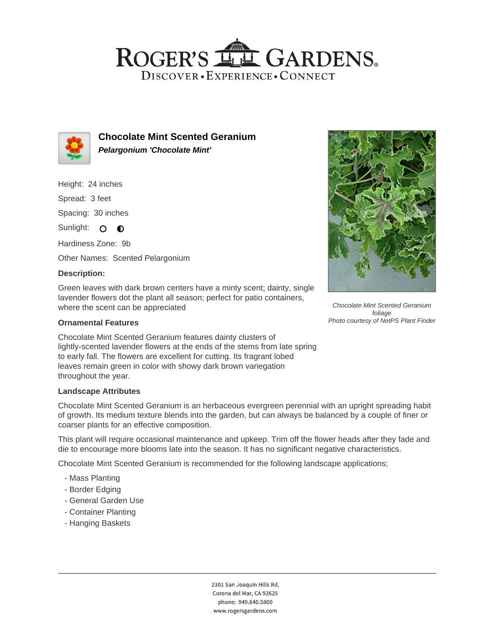## ROGER'S LL GARDENS. DISCOVER · EXPERIENCE · CONNECT



**Chocolate Mint Scented Geranium Pelargonium 'Chocolate Mint'**

Height: 24 inches Spread: 3 feet Spacing: 30 inches

Sunlight: O **O** 

Hardiness Zone: 9b

Other Names: Scented Pelargonium

### **Description:**

Green leaves with dark brown centers have a minty scent; dainty, single lavender flowers dot the plant all season; perfect for patio containers, where the scent can be appreciated

### **Ornamental Features**

Chocolate Mint Scented Geranium features dainty clusters of lightly-scented lavender flowers at the ends of the stems from late spring to early fall. The flowers are excellent for cutting. Its fragrant lobed leaves remain green in color with showy dark brown variegation throughout the year.

### **Landscape Attributes**

Chocolate Mint Scented Geranium is an herbaceous evergreen perennial with an upright spreading habit of growth. Its medium texture blends into the garden, but can always be balanced by a couple of finer or coarser plants for an effective composition.

This plant will require occasional maintenance and upkeep. Trim off the flower heads after they fade and die to encourage more blooms late into the season. It has no significant negative characteristics.

Chocolate Mint Scented Geranium is recommended for the following landscape applications;

- Mass Planting
- Border Edging
- General Garden Use
- Container Planting
- Hanging Baskets





Chocolate Mint Scented Geranium foliage Photo courtesy of NetPS Plant Finder